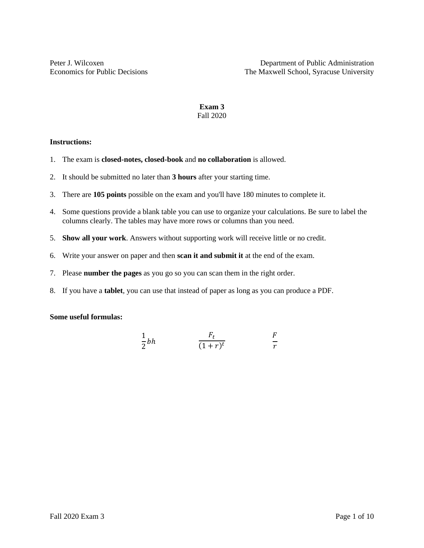# **Exam 3** Fall 2020

#### **Instructions:**

- 1. The exam is **closed-notes, closed-book** and **no collaboration** is allowed.
- 2. It should be submitted no later than **3 hours** after your starting time.
- 3. There are **105 points** possible on the exam and you'll have 180 minutes to complete it.
- 4. Some questions provide a blank table you can use to organize your calculations. Be sure to label the columns clearly. The tables may have more rows or columns than you need.
- 5. **Show all your work**. Answers without supporting work will receive little or no credit.
- 6. Write your answer on paper and then **scan it and submit it** at the end of the exam.
- 7. Please **number the pages** as you go so you can scan them in the right order.
- 8. If you have a **tablet**, you can use that instead of paper as long as you can produce a PDF.

#### **Some useful formulas:**

$$
\frac{1}{2}bh \qquad \qquad \frac{F_t}{(1+r)^t} \qquad \qquad \frac{F}{r}
$$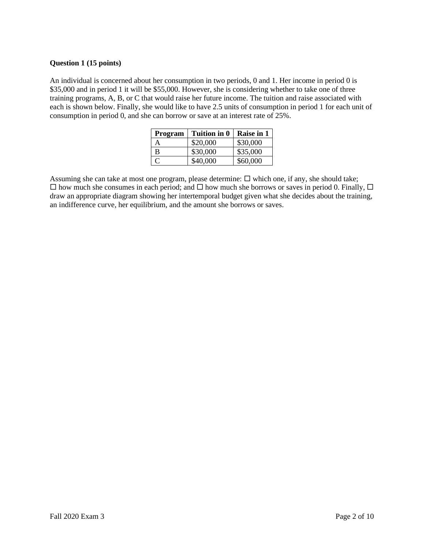### **Question 1 (15 points)**

An individual is concerned about her consumption in two periods, 0 and 1. Her income in period 0 is \$35,000 and in period 1 it will be \$55,000. However, she is considering whether to take one of three training programs, A, B, or C that would raise her future income. The tuition and raise associated with each is shown below. Finally, she would like to have 2.5 units of consumption in period 1 for each unit of consumption in period 0, and she can borrow or save at an interest rate of 25%.

| Program      | Tuition in 0 | <b>Raise in 1</b> |
|--------------|--------------|-------------------|
| А            | \$20,000     | \$30,000          |
| в            | \$30,000     | \$35,000          |
| $\mathbf{C}$ | \$40,000     | \$60,000          |

Assuming she can take at most one program, please determine:  $\Box$  which one, if any, she should take;  $\Box$  how much she consumes in each period; and  $\Box$  how much she borrows or saves in period 0. Finally,  $\Box$ draw an appropriate diagram showing her intertemporal budget given what she decides about the training, an indifference curve, her equilibrium, and the amount she borrows or saves.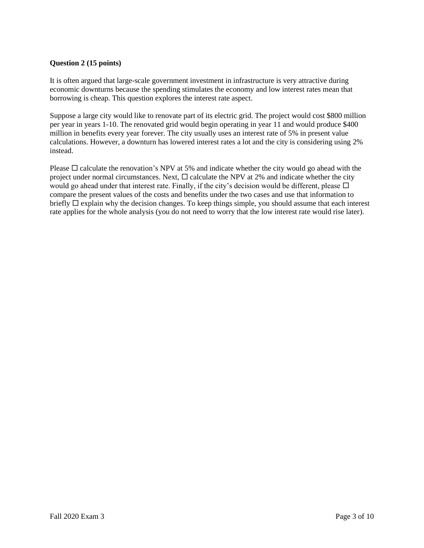## **Question 2 (15 points)**

It is often argued that large-scale government investment in infrastructure is very attractive during economic downturns because the spending stimulates the economy and low interest rates mean that borrowing is cheap. This question explores the interest rate aspect.

Suppose a large city would like to renovate part of its electric grid. The project would cost \$800 million per year in years 1-10. The renovated grid would begin operating in year 11 and would produce \$400 million in benefits every year forever. The city usually uses an interest rate of 5% in present value calculations. However, a downturn has lowered interest rates a lot and the city is considering using 2% instead.

Please  $\Box$  calculate the renovation's NPV at 5% and indicate whether the city would go ahead with the project under normal circumstances. Next,  $\Box$  calculate the NPV at 2% and indicate whether the city would go ahead under that interest rate. Finally, if the city's decision would be different, please  $\Box$ compare the present values of the costs and benefits under the two cases and use that information to briefly  $\Box$  explain why the decision changes. To keep things simple, you should assume that each interest rate applies for the whole analysis (you do not need to worry that the low interest rate would rise later).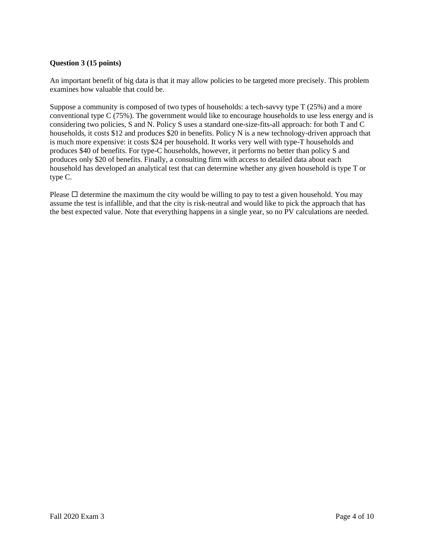## **Question 3 (15 points)**

An important benefit of big data is that it may allow policies to be targeted more precisely. This problem examines how valuable that could be.

Suppose a community is composed of two types of households: a tech-savvy type T (25%) and a more conventional type C (75%). The government would like to encourage households to use less energy and is considering two policies, S and N. Policy S uses a standard one-size-fits-all approach: for both T and C households, it costs \$12 and produces \$20 in benefits. Policy N is a new technology-driven approach that is much more expensive: it costs \$24 per household. It works very well with type-T households and produces \$40 of benefits. For type-C households, however, it performs no better than policy S and produces only \$20 of benefits. Finally, a consulting firm with access to detailed data about each household has developed an analytical test that can determine whether any given household is type T or type C.

Please  $\Box$  determine the maximum the city would be willing to pay to test a given household. You may assume the test is infallible, and that the city is risk-neutral and would like to pick the approach that has the best expected value. Note that everything happens in a single year, so no PV calculations are needed.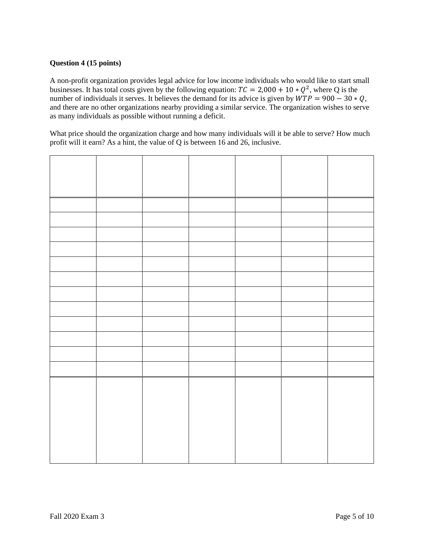## **Question 4 (15 points)**

A non-profit organization provides legal advice for low income individuals who would like to start small businesses. It has total costs given by the following equation:  $TC = 2,000 + 10 * Q^2$ , where Q is the number of individuals it serves. It believes the demand for its advice is given by  $\angle WTP = 900 - 30 * Q$ , and there are no other organizations nearby providing a similar service. The organization wishes to serve as many individuals as possible without running a deficit.

What price should the organization charge and how many individuals will it be able to serve? How much profit will it earn? As a hint, the value of Q is between 16 and 26, inclusive.

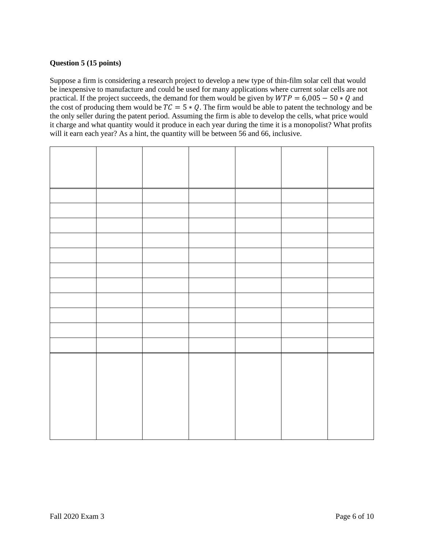# **Question 5 (15 points)**

Suppose a firm is considering a research project to develop a new type of thin-film solar cell that would be inexpensive to manufacture and could be used for many applications where current solar cells are not practical. If the project succeeds, the demand for them would be given by  $WTP = 6,005 - 50 * Q$  and the cost of producing them would be  $TC = 5 * Q$ . The firm would be able to patent the technology and be the only seller during the patent period. Assuming the firm is able to develop the cells, what price would it charge and what quantity would it produce in each year during the time it is a monopolist? What profits will it earn each year? As a hint, the quantity will be between 56 and 66, inclusive.

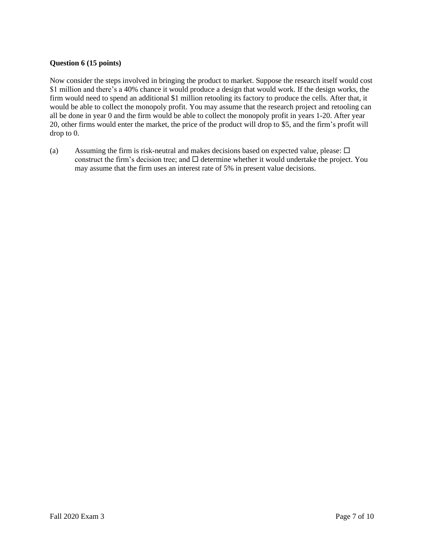## **Question 6 (15 points)**

Now consider the steps involved in bringing the product to market. Suppose the research itself would cost \$1 million and there's a 40% chance it would produce a design that would work. If the design works, the firm would need to spend an additional \$1 million retooling its factory to produce the cells. After that, it would be able to collect the monopoly profit. You may assume that the research project and retooling can all be done in year 0 and the firm would be able to collect the monopoly profit in years 1-20. After year 20, other firms would enter the market, the price of the product will drop to \$5, and the firm's profit will drop to 0.

(a) Assuming the firm is risk-neutral and makes decisions based on expected value, please:  $\Box$ construct the firm's decision tree; and  $\Box$  determine whether it would undertake the project. You may assume that the firm uses an interest rate of 5% in present value decisions.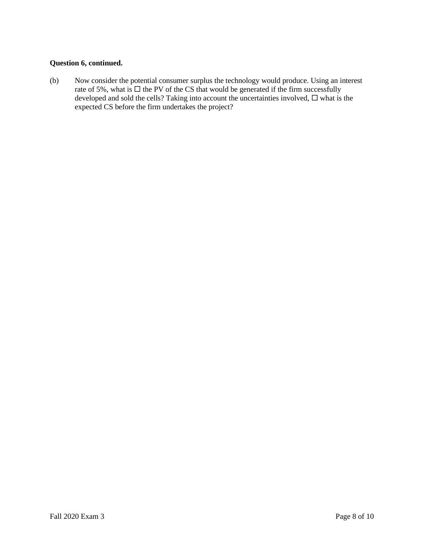## **Question 6, continued.**

(b) Now consider the potential consumer surplus the technology would produce. Using an interest rate of 5%, what is  $\Box$  the PV of the CS that would be generated if the firm successfully developed and sold the cells? Taking into account the uncertainties involved,  $\Box$  what is the expected CS before the firm undertakes the project?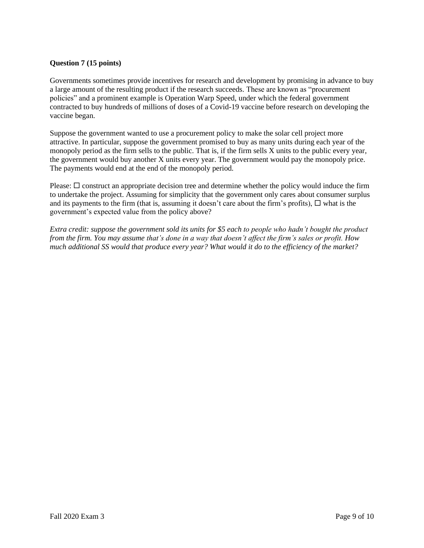## **Question 7 (15 points)**

Governments sometimes provide incentives for research and development by promising in advance to buy a large amount of the resulting product if the research succeeds. These are known as "procurement policies" and a prominent example is Operation Warp Speed, under which the federal government contracted to buy hundreds of millions of doses of a Covid-19 vaccine before research on developing the vaccine began.

Suppose the government wanted to use a procurement policy to make the solar cell project more attractive. In particular, suppose the government promised to buy as many units during each year of the monopoly period as the firm sells to the public. That is, if the firm sells X units to the public every year, the government would buy another X units every year. The government would pay the monopoly price. The payments would end at the end of the monopoly period.

Please:  $\Box$  construct an appropriate decision tree and determine whether the policy would induce the firm to undertake the project. Assuming for simplicity that the government only cares about consumer surplus and its payments to the firm (that is, assuming it doesn't care about the firm's profits),  $\Box$  what is the government's expected value from the policy above?

*Extra credit: suppose the government sold its units for \$5 each to people who hadn't bought the product from the firm. You may assume that's done in a way that doesn't affect the firm's sales or profit. How much additional SS would that produce every year? What would it do to the efficiency of the market?*